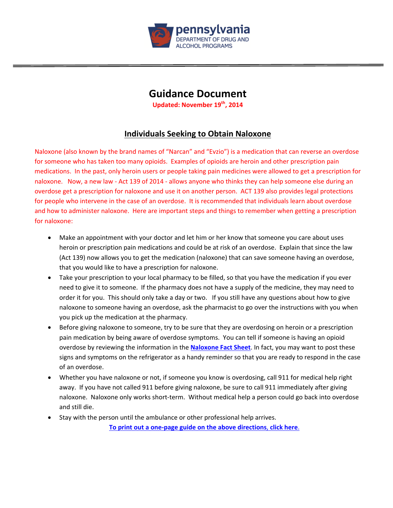

# **Guidance Document**

**Updated: November 19th, 2014**

# **Individuals Seeking to Obtain Naloxone**

Naloxone (also known by the brand names of "Narcan" and "Evzio") is a medication that can reverse an overdose for someone who has taken too many opioids. Examples of opioids are heroin and other prescription pain medications. In the past, only heroin users or people taking pain medicines were allowed to get a prescription for naloxone. Now, a new law ‐ Act 139 of 2014 ‐ allows anyone who thinks they can help someone else during an overdose get a prescription for naloxone and use it on another person. ACT 139 also provides legal protections for people who intervene in the case of an overdose. It is recommended that individuals learn about overdose and how to administer naloxone. Here are important steps and things to remember when getting a prescription for naloxone:

- Make an appointment with your doctor and let him or her know that someone you care about uses heroin or prescription pain medications and could be at risk of an overdose. Explain that since the law (Act 139) now allows you to get the medication (naloxone) that can save someone having an overdose, that you would like to have a prescription for naloxone.
- Take your prescription to your local pharmacy to be filled, so that you have the medication if you ever need to give it to someone. If the pharmacy does not have a supply of the medicine, they may need to order it for you. This should only take a day or two. If you still have any questions about how to give naloxone to someone having an overdose, ask the pharmacist to go over the instructions with you when you pick up the medication at the pharmacy.
- Before giving naloxone to someone, try to be sure that they are overdosing on heroin or a prescription pain medication by being aware of overdose symptoms. You can tell if someone is having an opioid overdose by reviewing the information in the **Naloxone Fact Sheet**. In fact, you may want to post these signs and symptoms on the refrigerator as a handy reminder so that you are ready to respond in the case of an overdose.
- Whether you have naloxone or not, if someone you know is overdosing, call 911 for medical help right away. If you have not called 911 before giving naloxone, be sure to call 911 immediately after giving naloxone. Naloxone only works short‐term. Without medical help a person could go back into overdose and still die.
- Stay with the person until the ambulance or other professional help arrives.

**To print out a one‐page guide on the above directions**, **click here**.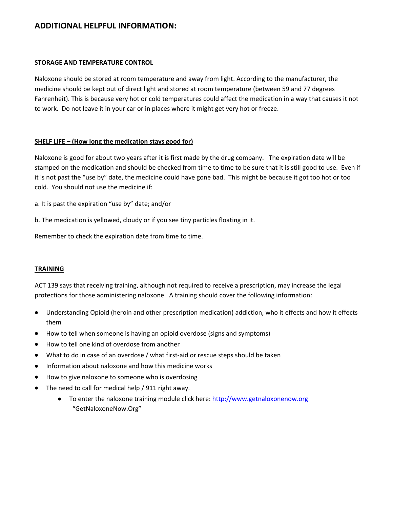# **ADDITIONAL HELPFUL INFORMATION:**

#### **STORAGE AND TEMPERATURE CONTROL**

Naloxone should be stored at room temperature and away from light. According to the manufacturer, the medicine should be kept out of direct light and stored at room temperature (between 59 and 77 degrees Fahrenheit). This is because very hot or cold temperatures could affect the medication in a way that causes it not to work. Do not leave it in your car or in places where it might get very hot or freeze.

#### **SHELF LIFE – (How long the medication stays good for)**

Naloxone is good for about two years after it is first made by the drug company. The expiration date will be stamped on the medication and should be checked from time to time to be sure that it is still good to use. Even if it is not past the "use by" date, the medicine could have gone bad. This might be because it got too hot or too cold. You should not use the medicine if:

a. It is past the expiration "use by" date; and/or

b. The medication is yellowed, cloudy or if you see tiny particles floating in it.

Remember to check the expiration date from time to time.

#### **TRAINING**

ACT 139 says that receiving training, although not required to receive a prescription, may increase the legal protections for those administering naloxone. A training should cover the following information:

- Understanding Opioid (heroin and other prescription medication) addiction, who it effects and how it effects them
- How to tell when someone is having an opioid overdose (signs and symptoms)
- How to tell one kind of overdose from another
- What to do in case of an overdose / what first-aid or rescue steps should be taken
- Information about naloxone and how this medicine works
- How to give naloxone to someone who is overdosing
- The need to call for medical help / 911 right away.
	- To enter the naloxone training module click here: http://www.getnaloxonenow.org "GetNaloxoneNow.Org"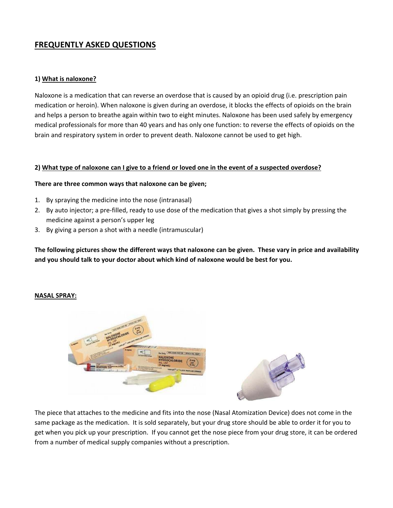# **FREQUENTLY ASKED QUESTIONS**

#### **1) What is naloxone?**

Naloxone is a medication that can reverse an overdose that is caused by an opioid drug (i.e. prescription pain medication or heroin). When naloxone is given during an overdose, it blocks the effects of opioids on the brain and helps a person to breathe again within two to eight minutes. Naloxone has been used safely by emergency medical professionals for more than 40 years and has only one function: to reverse the effects of opioids on the brain and respiratory system in order to prevent death. Naloxone cannot be used to get high.

#### 2) What type of naloxone can I give to a friend or loved one in the event of a suspected overdose?

#### **There are three common ways that naloxone can be given;**

- 1. By spraying the medicine into the nose (intranasal)
- 2. By auto injector; a pre‐filled, ready to use dose of the medication that gives a shot simply by pressing the medicine against a person's upper leg
- 3. By giving a person a shot with a needle (intramuscular)

The following pictures show the different ways that naloxone can be given. These vary in price and availability **and you should talk to your doctor about which kind of naloxone would be best for you.** 

#### **NASAL SPRAY:**



The piece that attaches to the medicine and fits into the nose (Nasal Atomization Device) does not come in the same package as the medication. It is sold separately, but your drug store should be able to order it for you to get when you pick up your prescription. If you cannot get the nose piece from your drug store, it can be ordered from a number of medical supply companies without a prescription.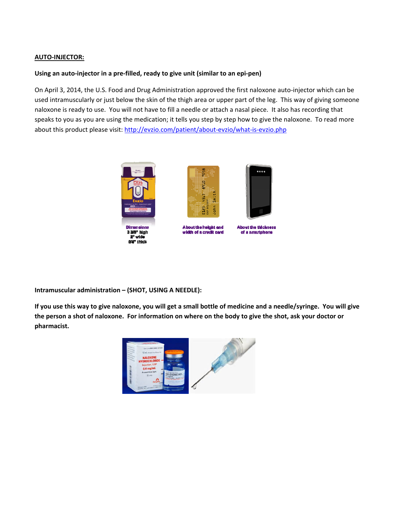### **AUTO‐INJECTOR:**

### **Using an auto‐injector in a pre‐filled, ready to give unit (similar to an epi‐pen)**

On April 3, 2014, the U.S. Food and Drug Administration approved the first naloxone auto‐injector which can be used intramuscularly or just below the skin of the thigh area or upper part of the leg. This way of giving someone naloxone is ready to use. You will not have to fill a needle or attach a nasal piece. It also has recording that speaks to you as you are using the medication; it tells you step by step how to give the naloxone. To read more about this product please visit: http://evzio.com/patient/about-evzio/what-is-evzio.php



**Intramuscular administration – (SHOT, USING A NEEDLE):**

If you use this way to give naloxone, you will get a small bottle of medicine and a needle/syringe. You will give the person a shot of naloxone. For information on where on the body to give the shot, ask your doctor or **pharmacist.**